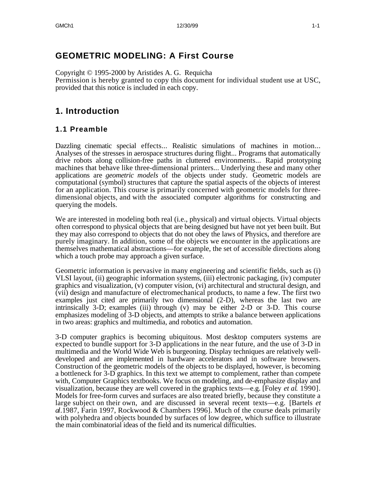## **GEOMETRIC MODELING: A First Course**

Copyright © 1995-2000 by Aristides A. G. Requicha Permission is hereby granted to copy this document for individual student use at USC, provided that this notice is included in each copy.

# **1. Introduction**

### **1.1 Preamble**

Dazzling cinematic special effects... Realistic simulations of machines in motion... Analyses of the stresses in aerospace structures during flight... Programs that automatically drive robots along collision-free paths in cluttered environments... Rapid prototyping machines that behave like three-dimensional printers... Underlying these and many other applications are *geometric models* of the objects under study. Geometric models are computational (symbol) structures that capture the spatial aspects of the objects of interest for an application. This course is primarily concerned with geometric models for threedimensional objects, and with the associated computer algorithms for constructing and querying the models.

We are interested in modeling both real (i.e., physical) and virtual objects. Virtual objects often correspond to physical objects that are being designed but have not yet been built. But they may also correspond to objects that do not obey the laws of Physics, and therefore are purely imaginary. In addition, some of the objects we encounter in the applications are themselves mathematical abstractions—for example, the set of accessible directions along which a touch probe may approach a given surface.

Geometric information is pervasive in many engineering and scientific fields, such as (i) VLSI layout, (ii) geographic information systems, (iii) electronic packaging, (iv) computer graphics and visualization, (v) computer vision, (vi) architectural and structural design, and (vii) design and manufacture of electromechanical products, to name a few. The first two examples just cited are primarily two dimensional (2-D), whereas the last two are intrinsically 3-D; examples (iii) through (v) may be either 2-D or 3-D. This course emphasizes modeling of 3-D objects, and attempts to strike a balance between applications in two areas: graphics and multimedia, and robotics and automation.

3-D computer graphics is becoming ubiquitous. Most desktop computers systems are expected to bundle support for 3-D applications in the near future, and the use of 3-D in multimedia and the World Wide Web is burgeoning. Display techniques are relatively welldeveloped and are implemented in hardware accelerators and in software browsers. Construction of the geometric models of the objects to be displayed, however, is becoming a bottleneck for 3-D graphics. In this text we attempt to complement, rather than compete with, Computer Graphics textbooks. We focus on modeling, and de-emphasize display and visualization, because they are well covered in the graphics texts—e.g. [Foley *et al*. 1990]. Models for free-form curves and surfaces are also treated briefly, because they constitute a large subject on their own, and are discussed in several recent texts—e.g. [Bartels *et al*.1987, Farin 1997, Rockwood & Chambers 1996]. Much of the course deals primarily with polyhedra and objects bounded by surfaces of low degree, which suffice to illustrate the main combinatorial ideas of the field and its numerical difficulties.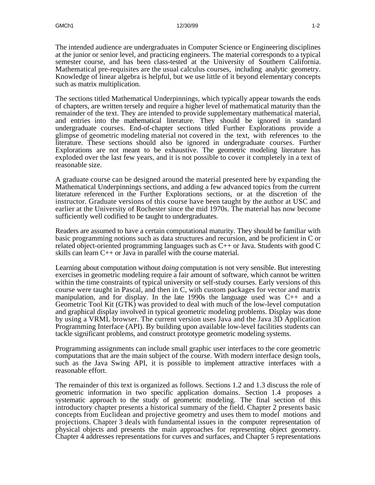The intended audience are undergraduates in Computer Science or Engineering disciplines at the junior or senior level, and practicing engineers. The material corresponds to a typical semester course, and has been class-tested at the University of Southern California. Mathematical pre-requisites are the usual calculus courses, including analytic geometry. Knowledge of linear algebra is helpful, but we use little of it beyond elementary concepts such as matrix multiplication.

The sections titled Mathematical Underpinnings, which typically appear towards the ends of chapters, are written tersely and require a higher level of mathematical maturity than the remainder of the text. They are intended to provide supplementary mathematical material, and entries into the mathematical literature. They should be ignored in standard undergraduate courses. End-of-chapter sections titled Further Explorations provide a glimpse of geometric modeling material not covered in the text, with references to the literature. These sections should also be ignored in undergraduate courses. Further Explorations are not meant to be exhaustive. The geometric modeling literature has exploded over the last few years, and it is not possible to cover it completely in a text of reasonable size.

A graduate course can be designed around the material presented here by expanding the Mathematical Underpinnings sections, and adding a few advanced topics from the current literature referenced in the Further Explorations sections, or at the discretion of the instructor. Graduate versions of this course have been taught by the author at USC and earlier at the University of Rochester since the mid 1970s. The material has now become sufficiently well codified to be taught to undergraduates.

Readers are assumed to have a certain computational maturity. They should be familiar with basic programming notions such as data structures and recursion, and be proficient in C or related object-oriented programming languages such as  $C++$  or Java. Students with good  $C$ skills can learn C++ or Java in parallel with the course material.

Learning about computation without *doing* computation is not very sensible. But interesting exercises in geometric modeling require a fair amount of software, which cannot be written within the time constraints of typical university or self-study courses. Early versions of this course were taught in Pascal, and then in C, with custom packages for vector and matrix manipulation, and for display. In the late 1990s the language used was C++ and a Geometric Tool Kit (GTK) was provided to deal with much of the low-level computation and graphical display involved in typical geometric modeling problems. Display was done by using a VRML browser. The current version uses Java and the Java 3D Application Programming Interface (API). By building upon available low-level facilities students can tackle significant problems, and construct prototype geometric modeling systems.

Programming assignments can include small graphic user interfaces to the core geometric computations that are the main subject of the course. With modern interface design tools, such as the Java Swing API, it is possible to implement attractive interfaces with a reasonable effort.

The remainder of this text is organized as follows. Sections 1.2 and 1.3 discuss the role of geometric information in two specific application domains. Section 1.4 proposes a systematic approach to the study of geometric modeling. The final section of this introductory chapter presents a historical summary of the field. Chapter 2 presents basic concepts from Euclidean and projective geometry and uses them to model motions and projections. Chapter 3 deals with fundamental issues in the computer representation of physical objects and presents the main approaches for representing object geometry. Chapter 4 addresses representations for curves and surfaces, and Chapter 5 representations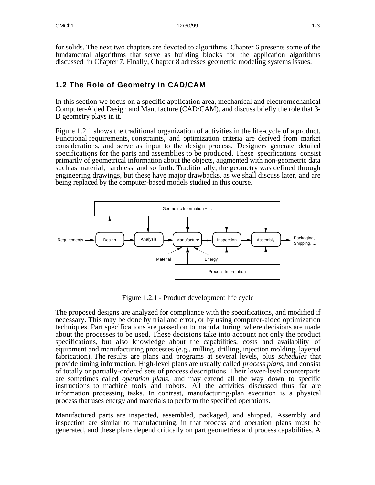for solids. The next two chapters are devoted to algorithms. Chapter 6 presents some of the fundamental algorithms that serve as building blocks for the application algorithms discussed in Chapter 7. Finally, Chapter 8 adresses geometric modeling systems issues.

## **1.2 The Role of Geometry in CAD/CAM**

In this section we focus on a specific application area, mechanical and electromechanical Computer-Aided Design and Manufacture (CAD/CAM), and discuss briefly the role that 3- D geometry plays in it.

Figure 1.2.1 shows the traditional organization of activities in the life-cycle of a product. Functional requirements, constraints, and optimization criteria are derived from market considerations, and serve as input to the design process. Designers generate detailed specifications for the parts and assemblies to be produced. These specifications consist primarily of geometrical information about the objects, augmented with non-geometric data such as material, hardness, and so forth. Traditionally, the geometry was defined through engineering drawings, but these have major drawbacks, as we shall discuss later, and are being replaced by the computer-based models studied in this course.



Figure 1.2.1 - Product development life cycle

The proposed designs are analyzed for compliance with the specifications, and modified if necessary. This may be done by trial and error, or by using computer-aided optimization techniques. Part specifications are passed on to manufacturing, where decisions are made about the processes to be used. These decisions take into account not only the product specifications, but also knowledge about the capabilities, costs and availability of equipment and manufacturing processes (e.g., milling, drilling, injection molding, layered fabrication). The results are plans and programs at several levels, plus *schedules* that provide timing information. High-level plans are usually called *process plans*, and consist of totally or partially-ordered sets of process descriptions. Their lower-level counterparts are sometimes called *operation plans*, and may extend all the way down to specific instructions to machine tools and robots. All the activities discussed thus far are information processing tasks. In contrast, manufacturing-plan execution is a physical process that uses energy and materials to perform the specified operations.

Manufactured parts are inspected, assembled, packaged, and shipped. Assembly and inspection are similar to manufacturing, in that process and operation plans must be generated, and these plans depend critically on part geometries and process capabilities. A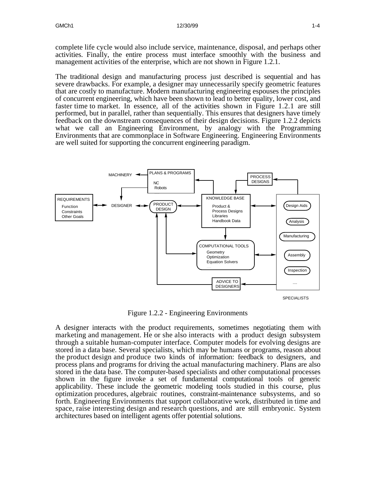complete life cycle would also include service, maintenance, disposal, and perhaps other activities. Finally, the entire process must interface smoothly with the business and management activities of the enterprise, which are not shown in Figure 1.2.1.

The traditional design and manufacturing process just described is sequential and has severe drawbacks. For example, a designer may unnecessarily specify geometric features that are costly to manufacture. Modern manufacturing engineering espouses the principles of concurrent engineering, which have been shown to lead to better quality, lower cost, and faster time to market. In essence, all of the activities shown in Figure 1.2.1 are still performed, but in parallel, rather than sequentially. This ensures that designers have timely feedback on the downstream consequences of their design decisions. Figure 1.2.2 depicts what we call an Engineering Environment, by analogy with the Programming Environments that are commonplace in Software Engineering. Engineering Environments are well suited for supporting the concurrent engineering paradigm.



Figure 1.2.2 - Engineering Environments

A designer interacts with the product requirements, sometimes negotiating them with marketing and management. He or she also interacts with a product design subsystem through a suitable human-computer interface. Computer models for evolving designs are stored in a data base. Several specialists, which may be humans or programs, reason about the product design and produce two kinds of information: feedback to designers, and process plans and programs for driving the actual manufacturing machinery. Plans are also stored in the data base. The computer-based specialists and other computational processes shown in the figure invoke a set of fundamental computational tools of generic applicability. These include the geometric modeling tools studied in this course, plus optimization procedures, algebraic routines, constraint-maintenance subsystems, and so forth. Engineering Environments that support collaborative work, distributed in time and space, raise interesting design and research questions, and are still embryonic. System architectures based on intelligent agents offer potential solutions.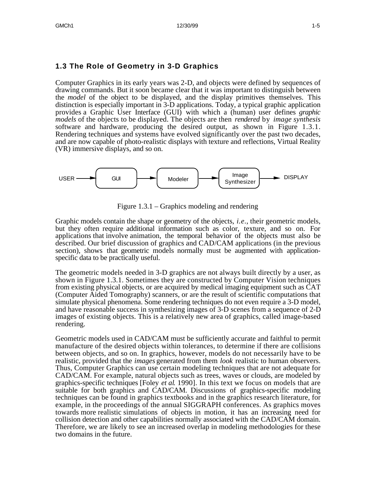### **1.3 The Role of Geometry in 3-D Graphics**

Computer Graphics in its early years was 2-D, and objects were defined by sequences of drawing commands. But it soon became clear that it was important to distinguish between the *model* of the object to be displayed, and the display primitives themselves. This distinction is especially important in 3-D applications. Today, a typical graphic application provides a Graphic User Interface (GUI) with which a (human) user defines *graphic models* of the objects to be displayed. The objects are then *rendered* by *image synthesis* software and hardware, producing the desired output, as shown in Figure 1.3.1. Rendering techniques and systems have evolved significantly over the past two decades, and are now capable of photo-realistic displays with texture and reflections, Virtual Reality (VR) immersive displays, and so on.



Figure 1.3.1 – Graphics modeling and rendering

Graphic models contain the shape or geometry of the objects, *i.e.*, their geometric models, but they often require additional information such as color, texture, and so on. For applications that involve animation, the temporal behavior of the objects must also be described. Our brief discussion of graphics and CAD/CAM applications (in the previous section), shows that geometric models normally must be augmented with applicationspecific data to be practically useful.

The geometric models needed in 3-D graphics are not always built directly by a user, as shown in Figure 1.3.1. Sometimes they are constructed by Computer Vision techniques from existing physical objects, or are acquired by medical imaging equipment such as CAT (Computer Aided Tomography) scanners, or are the result of scientific computations that simulate physical phenomena. Some rendering techniques do not even require a 3-D model, and have reasonable success in synthesizing images of 3-D scenes from a sequence of 2-D images of existing objects. This is a relatively new area of graphics, called image-based rendering.

Geometric models used in CAD/CAM must be sufficiently accurate and faithful to permit manufacture of the desired objects within tolerances, to determine if there are collisions between objects, and so on. In graphics, however, models do not necessarily have to be realistic, provided that the *images* generated from them *look* realistic to human observers. Thus, Computer Graphics can use certain modeling techniques that are not adequate for CAD/CAM. For example, natural objects such as trees, waves or clouds, are modeled by graphics-specific techniques [Foley *et al*. 1990]. In this text we focus on models that are suitable for both graphics and CAD/CAM. Discussions of graphics-specific modeling techniques can be found in graphics textbooks and in the graphics research literature, for example, in the proceedings of the annual SIGGRAPH conferences. As graphics moves towards more realistic simulations of objects in motion, it has an increasing need for collision detection and other capabilities normally associated with the CAD/CAM domain. Therefore, we are likely to see an increased overlap in modeling methodologies for these two domains in the future.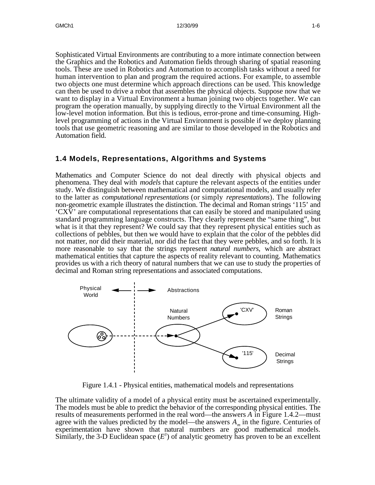Sophisticated Virtual Environments are contributing to a more intimate connection between the Graphics and the Robotics and Automation fields through sharing of spatial reasoning tools. These are used in Robotics and Automation to accomplish tasks without a need for human intervention to plan and program the required actions. For example, to assemble two objects one must determine which approach directions can be used. This knowledge can then be used to drive a robot that assembles the physical objects. Suppose now that we want to display in a Virtual Environment a human joining two objects together. We can program the operation manually, by supplying directly to the Virtual Environment all the low-level motion information. But this is tedious, error-prone and time-consuming. Highlevel programming of actions in the Virtual Environment is possible if we deploy planning tools that use geometric reasoning and are similar to those developed in the Robotics and Automation field.

### **1.4 Models, Representations, Algorithms and Systems**

Mathematics and Computer Science do not deal directly with physical objects and phenomena. They deal with *models* that capture the relevant aspects of the entities under study. We distinguish between mathematical and computational models, and usually refer to the latter as *computational representations* (or simply *representations*). The following non-geometric example illustrates the distinction. The decimal and Roman strings '115' and 'CXV' are computational representations that can easily be stored and manipulated using standard programming language constructs. They clearly represent the "same thing", but what is it that they represent? We could say that they represent physical entities such as collections of pebbles, but then we would have to explain that the color of the pebbles did not matter, nor did their material, nor did the fact that they were pebbles, and so forth. It is more reasonable to say that the strings represent *natural numbers*, which are abstract mathematical entities that capture the aspects of reality relevant to counting. Mathematics provides us with a rich theory of natural numbers that we can use to study the properties of decimal and Roman string representations and associated computations.



Figure 1.4.1 - Physical entities, mathematical models and representations

The ultimate validity of a model of a physical entity must be ascertained experimentally. The models must be able to predict the behavior of the corresponding physical entities. The results of measurements performed in the real word—the answers *A* in Figure 1.4.2—must agree with the values predicted by the model—the answers *A<sup>m</sup>* in the figure. Centuries of experimentation have shown that natural numbers are good mathematical models. Similarly, the 3-D Euclidean space  $(E^3)$  of analytic geometry has proven to be an excellent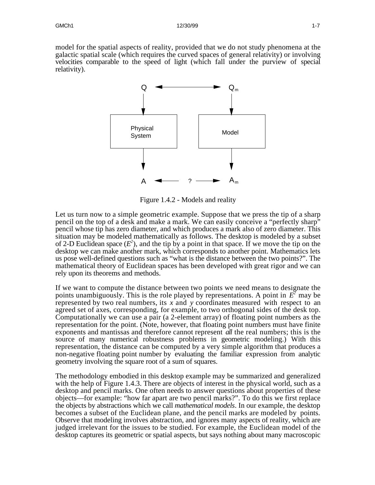model for the spatial aspects of reality, provided that we do not study phenomena at the galactic spatial scale (which requires the curved spaces of general relativity) or involving velocities comparable to the speed of light (which fall under the purview of special relativity).



Figure 1.4.2 - Models and reality

Let us turn now to a simple geometric example. Suppose that we press the tip of a sharp pencil on the top of a desk and make a mark. We can easily conceive a "perfectly sharp" pencil whose tip has zero diameter, and which produces a mark also of zero diameter. This situation may be modeled mathematically as follows. The desktop is modeled by a subset of 2-D Euclidean space  $(E^2)$ , and the tip by a point in that space. If we move the tip on the desktop we can make another mark, which corresponds to another point. Mathematics lets us pose well-defined questions such as "what is the distance between the two points?". The mathematical theory of Euclidean spaces has been developed with great rigor and we can rely upon its theorems and methods.

If we want to compute the distance between two points we need means to designate the points unambiguously. This is the role played by representations. A point in  $E^2$  may be represented by two real numbers, its *x* and *y* coordinates measured with respect to an agreed set of axes, corresponding, for example, to two orthogonal sides of the desk top. Computationally we can use a pair (a 2-element array) of floating point numbers as the representation for the point. (Note, however, that floating point numbers must have finite exponents and mantissas and therefore cannot represent *all* the real numbers; this is the source of many numerical robustness problems in geometric modeling.) With this representation, the distance can be computed by a very simple algorithm that produces a non-negative floating point number by evaluating the familiar expression from analytic geometry involving the square root of a sum of squares.

The methodology embodied in this desktop example may be summarized and generalized with the help of Figure 1.4.3. There are objects of interest in the physical world, such as a desktop and pencil marks. One often needs to answer questions about properties of these objects—for example: "how far apart are two pencil marks?". To do this we first replace the objects by abstractions which we call *mathematical models*. In our example, the desktop becomes a subset of the Euclidean plane, and the pencil marks are modeled by points. Observe that modeling involves abstraction, and ignores many aspects of reality, which are judged irrelevant for the issues to be studied. For example, the Euclidean model of the desktop captures its geometric or spatial aspects, but says nothing about many macroscopic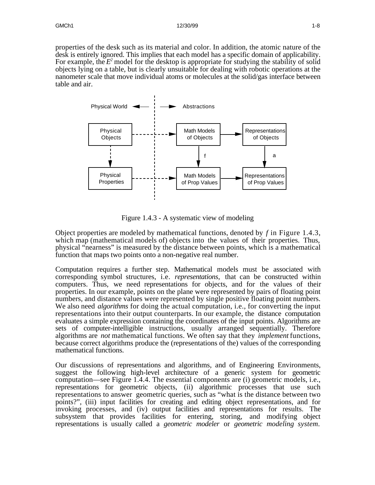properties of the desk such as its material and color. In addition, the atomic nature of the desk is entirely ignored. This implies that each model has a specific domain of applicability. For example, the  $E^2$  model for the desktop is appropriate for studying the stability of solid objects lying on a table, but is clearly unsuitable for dealing with robotic operations at the nanometer scale that move individual atoms or molecules at the solid/gas interface between table and air.



Figure 1.4.3 - A systematic view of modeling

Object properties are modeled by mathematical functions, denoted by *f* in Figure 1.4.3, which map (mathematical models of) objects into the values of their properties. Thus, physical "nearness" is measured by the distance between points, which is a mathematical function that maps two points onto a non-negative real number.

Computation requires a further step. Mathematical models must be associated with corresponding symbol structures, i.e. *representations*, that can be constructed within computers. Thus, we need representations for objects, and for the values of their properties. In our example, points on the plane were represented by pairs of floating point numbers, and distance values were represented by single positive floating point numbers. We also need *algorithms* for doing the actual computation, i.e., for converting the input representations into their output counterparts. In our example, the distance computation evaluates a simple expression containing the coordinates of the input points. Algorithms are sets of computer-intelligible instructions, usually arranged sequentially. Therefore algorithms are *not* mathematical functions. We often say that they *implement* functions, because correct algorithms produce the (representations of the) values of the corresponding mathematical functions.

Our discussions of representations and algorithms, and of Engineering Environments, suggest the following high-level architecture of a generic system for geometric computation—see Figure 1.4.4. The essential components are (i) geometric models, i.e., representations for geometric objects, (ii) algorithmic processes that use such representations to answer geometric queries, such as "what is the distance between two points?", (iii) input facilities for creating and editing object representations, and for invoking processes, and (iv) output facilities and representations for results. The subsystem that provides facilities for entering, storing, and modifying object representations is usually called a *geometric modeler* or *geometric modeling system*.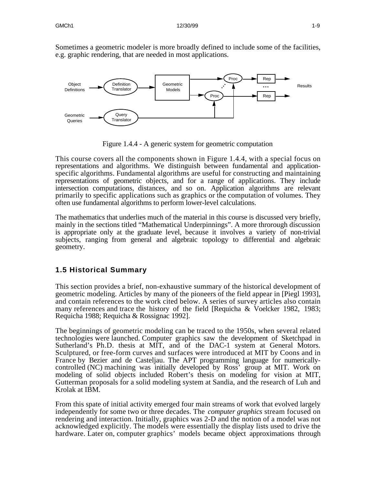Sometimes a geometric modeler is more broadly defined to include some of the facilities, e.g. graphic rendering, that are needed in most applications.



Figure 1.4.4 - A generic system for geometric computation

This course covers all the components shown in Figure 1.4.4, with a special focus on representations and algorithms. We distinguish between fundamental and applicationspecific algorithms. Fundamental algorithms are useful for constructing and maintaining representations of geometric objects, and for a range of applications. They include intersection computations, distances, and so on. Application algorithms are relevant primarily to specific applications such as graphics or the computation of volumes. They often use fundamental algorithms to perform lower-level calculations.

The mathematics that underlies much of the material in this course is discussed very briefly, mainly in the sections titled "Mathematical Underpinnings". A more throrough discussion is appropriate only at the graduate level, because it involves a variety of non-trivial subjects, ranging from general and algebraic topology to differential and algebraic geometry.

### **1.5 Historical Summary**

This section provides a brief, non-exhaustive summary of the historical development of geometric modeling. Articles by many of the pioneers of the field appear in [Piegl 1993], and contain references to the work cited below. A series of survey articles also contain many references and trace the history of the field [Requicha & Voelcker 1982, 1983; Requicha 1988; Requicha & Rossignac 1992].

The beginnings of geometric modeling can be traced to the 1950s, when several related technologies were launched. Computer graphics saw the development of Sketchpad in Sutherland's Ph.D. thesis at MIT, and of the DAC-1 system at General Motors. Sculptured, or free-form curves and surfaces were introduced at MIT by Coons and in France by Bezier and de Casteljau. The APT programming language for numericallycontrolled (NC) machining was initially developed by Ross' group at MIT. Work on modeling of solid objects included Robert's thesis on modeling for vision at MIT, Gutterman proposals for a solid modeling system at Sandia, and the research of Luh and Krolak at IBM.

From this spate of initial activity emerged four main streams of work that evolved largely independently for some two or three decades. The *computer graphics* stream focused on rendering and interaction. Initially, graphics was 2-D and the notion of a model was not acknowledged explicitly. The models were essentially the display lists used to drive the hardware. Later on, computer graphics' models became object approximations through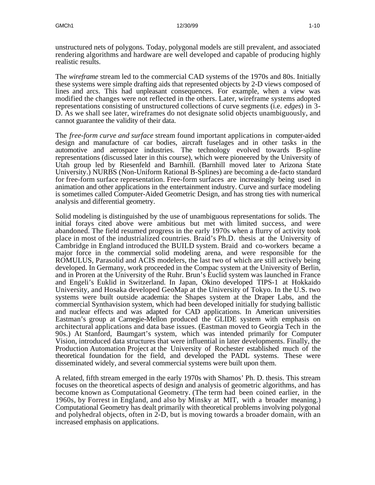unstructured nets of polygons. Today, polygonal models are still prevalent, and associated rendering algorithms and hardware are well developed and capable of producing highly realistic results.

The *wireframe* stream led to the commercial CAD systems of the 1970s and 80s. Initially these systems were simple drafting aids that represented objects by 2-D views composed of lines and arcs. This had unpleasant consequences. For example, when a view was modified the changes were not reflected in the others. Later, wireframe systems adopted representations consisting of unstructured collections of curve segments (i.e. *edges*) in 3- D. As we shall see later, wireframes do not designate solid objects unambiguously, and cannot guarantee the validity of their data.

The *free-form curve and surface* stream found important applications in computer-aided design and manufacture of car bodies, aircraft fuselages and in other tasks in the automotive and aerospace industries. The technology evolved towards B-spline representations (discussed later in this course), which were pioneered by the University of Utah group led by Riesenfeld and Barnhill. (Barnhill moved later to Arizona State University.) NURBS (Non-Uniform Rational B-Splines) are becoming a de-facto standard for free-form surface representation. Free-form surfaces are increasingly being used in animation and other applications in the entertainment industry. Curve and surface modeling is sometimes called Computer-Aided Geometric Design, and has strong ties with numerical analysis and differential geometry.

Solid modeling is distinguished by the use of unambiguous representations for solids. The initial forays cited above were ambitious but met with limited success, and were abandoned. The field resumed progress in the early 1970s when a flurry of activity took place in most of the industrialized countries. Braid's Ph.D. thesis at the University of Cambridge in England introduced the BUILD system. Braid and co-workers became a major force in the commercial solid modeling arena, and were responsible for the ROMULUS, Parasolid and ACIS modelers, the last two of which are still actively being developed. In Germany, work proceeded in the Compac system at the University of Berlin, and in Proren at the University of the Ruhr. Brun's Euclid system was launched in France and Engeli's Euklid in Switzerland. In Japan, Okino developed TIPS-1 at Hokkaido University, and Hosaka developed GeoMap at the University of Tokyo. In the U.S. two systems were built outside academia: the Shapes system at the Draper Labs, and the commercial Synthavision system, which had been developed initially for studying ballistic and nuclear effects and was adapted for CAD applications. In American universities Eastman's group at Carnegie-Mellon produced the GLIDE system with emphasis on architectural applications and data base issues. (Eastman moved to Georgia Tech in the 90s.) At Stanford, Baumgart's system, which was intended primarily for Computer Vision, introduced data structures that were influential in later developments. Finally, the Production Automation Project at the University of Rochester established much of the theoretical foundation for the field, and developed the PADL systems. These were disseminated widely, and several commercial systems were built upon them.

A related, fifth stream emerged in the early 1970s with Shamos' Ph. D. thesis. This stream focuses on the theoretical aspects of design and analysis of geometric algorithms, and has become known as Computational Geometry. (The term had been coined earlier, in the 1960s, by Forrest in England, and also by Minsky at MIT, with a broader meaning.) Computational Geometry has dealt primarily with theoretical problems involving polygonal and polyhedral objects, often in 2-D, but is moving towards a broader domain, with an increased emphasis on applications.